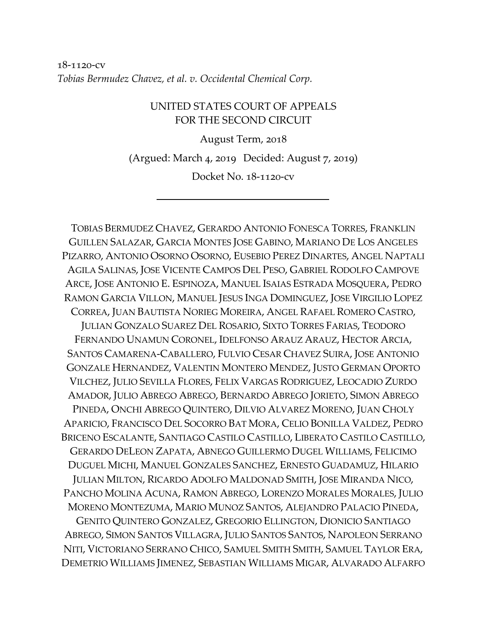18‐1120‐cv *Tobias Bermudez Chavez, et al. v. Occidental Chemical Corp.*

## UNITED STATES COURT OF APPEALS FOR THE SECOND CIRCUIT

August Term, 2018

(Argued: March 4, 2019 Decided: August 7, 2019)

Docket No. 18‐1120‐cv

TOBIAS BERMUDEZ CHAVEZ, GERARDO ANTONIO FONESCA TORRES, FRANKLIN GUILLEN SALAZAR, GARCIA MONTES JOSE GABINO, MARIANO DE LOS ANGELES PIZARRO, ANTONIO OSORNO OSORNO, EUSEBIO PEREZ DINARTES, ANGEL NAPTALI AGILA SALINAS, JOSE VICENTE CAMPOS DEL PESO, GABRIEL RODOLFO CAMPOVE ARCE, JOSE ANTONIO E. ESPINOZA, MANUEL ISAIAS ESTRADA MOSQUERA, PEDRO RAMON GARCIA VILLON, MANUEL JESUS INGA DOMINGUEZ, JOSE VIRGILIO LOPEZ CORREA, JUAN BAUTISTA NORIEG MOREIRA, ANGEL RAFAEL ROMERO CASTRO, JULIAN GONZALO SUAREZ DEL ROSARIO, SIXTO TORRES FARIAS, TEODORO FERNANDO UNAMUN CORONEL, IDELFONSO ARAUZ ARAUZ, HECTOR ARCIA, SANTOS CAMARENA‐CABALLERO, FULVIO CESAR CHAVEZ SUIRA, JOSE ANTONIO GONZALE HERNANDEZ, VALENTIN MONTERO MENDEZ, JUSTO GERMAN OPORTO VILCHEZ, JULIO SEVILLA FLORES, FELIX VARGAS RODRIGUEZ, LEOCADIO ZURDO AMADOR, JULIO ABREGO ABREGO, BERNARDO ABREGO JORIETO, SIMON ABREGO PINEDA, ONCHI ABREGO QUINTERO, DILVIO ALVAREZ MORENO, JUAN CHOLY APARICIO, FRANCISCO DEL SOCORRO BAT MORA, CELIO BONILLA VALDEZ, PEDRO BRICENO ESCALANTE, SANTIAGO CASTILO CASTILLO, LIBERATO CASTILO CASTILLO, GERARDO DELEON ZAPATA, ABNEGO GUILLERMO DUGEL WILLIAMS, FELICIMO DUGUEL MICHI, MANUEL GONZALES SANCHEZ, ERNESTO GUADAMUZ, HILARIO JULIAN MILTON, RICARDO ADOLFO MALDONAD SMITH, JOSE MIRANDA NICO, PANCHO MOLINA ACUNA, RAMON ABREGO, LORENZO MORALES MORALES, JULIO MORENO MONTEZUMA, MARIO MUNOZ SANTOS, ALEJANDRO PALACIO PINEDA, GENITO QUINTERO GONZALEZ, GREGORIO ELLINGTON, DIONICIO SANTIAGO ABREGO, SIMON SANTOS VILLAGRA, JULIO SANTOS SANTOS, NAPOLEON SERRANO NITI, VICTORIANO SERRANO CHICO, SAMUEL SMITH SMITH, SAMUEL TAYLOR ERA, DEMETRIO WILLIAMS JIMENEZ, SEBASTIAN WILLIAMS MIGAR, ALVARADO ALFARFO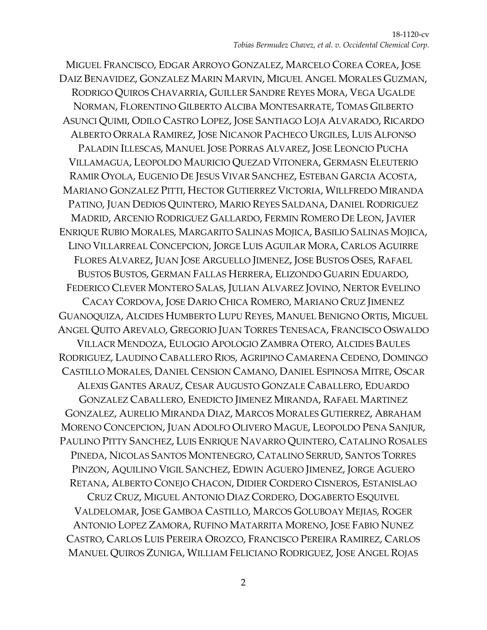MIGUEL FRANCISCO, EDGAR ARROYO GONZALEZ, MARCELO COREA COREA, JOSE DAIZ BENAVIDEZ, GONZALEZ MARIN MARVIN, MIGUEL ANGEL MORALES GUZMAN, RODRIGO QUIROS CHAVARRIA, GUILLER SANDRE REYES MORA, VEGA UGALDE NORMAN, FLORENTINO GILBERTO ALCIBA MONTESARRATE, TOMAS GILBERTO ASUNCI QUIMI, ODILO CASTRO LOPEZ, JOSE SANTIAGO LOJA ALVARADO, RICARDO ALBERTO ORRALA RAMIREZ, JOSE NICANOR PACHECO URGILES, LUIS ALFONSO PALADIN ILLESCAS, MANUEL JOSE PORRAS ALVAREZ, JOSE LEONCIO PUCHA VILLAMAGUA, LEOPOLDO MAURICIO QUEZAD VITONERA, GERMASN ELEUTERIO RAMIR OYOLA, EUGENIO DE JESUS VIVAR SANCHEZ, ESTEBAN GARCIA ACOSTA, MARIANO GONZALEZ PITTI, HECTOR GUTIERREZ VICTORIA, WILLFREDO MIRANDA PATINO, JUAN DEDIOS QUINTERO, MARIO REYES SALDANA, DANIEL RODRIGUEZ MADRID, ARCENIO RODRIGUEZ GALLARDO, FERMIN ROMERO DE LEON, JAVIER ENRIQUE RUBIO MORALES, MARGARITO SALINAS MOJICA, BASILIO SALINAS MOJICA, LINO VILLARREAL CONCEPCION, JORGE LUIS AGUILAR MORA, CARLOS AGUIRRE FLORES ALVAREZ, JUAN JOSE ARGUELLO JIMENEZ, JOSE BUSTOS OSES, RAFAEL BUSTOS BUSTOS, GERMAN FALLAS HERRERA, ELIZONDO GUARIN EDUARDO, FEDERICO CLEVER MONTERO SALAS, JULIAN ALVAREZ JOVINO, NERTOR EVELINO CACAY CORDOVA, JOSE DARIO CHICA ROMERO, MARIANO CRUZ JIMENEZ GUANOQUIZA, ALCIDES HUMBERTO LUPU REYES, MANUEL BENIGNO ORTIS, MIGUEL ANGEL QUITO AREVALO, GREGORIO JUAN TORRES TENESACA, FRANCISCO OSWALDO VILLACR MENDOZA, EULOGIO APOLOGIO ZAMBRA OTERO, ALCIDES BAULES RODRIGUEZ, LAUDINO CABALLERO RIOS, AGRIPINO CAMARENA CEDENO, DOMINGO CASTILLO MORALES, DANIEL CENSION CAMANO, DANIEL ESPINOSA MITRE, OSCAR ALEXIS GANTES ARAUZ, CESAR AUGUSTO GONZALE CABALLERO, EDUARDO GONZALEZ CABALLERO, ENEDICTO JIMENEZ MIRANDA, RAFAEL MARTINEZ GONZALEZ, AURELIO MIRANDA DIAZ, MARCOS MORALES GUTIERREZ, ABRAHAM MORENO CONCEPCION, JUAN ADOLFO OLIVERO MAGUE, LEOPOLDO PENA SANJUR, PAULINO PITTY SANCHEZ, LUIS ENRIQUE NAVARRO QUINTERO, CATALINO ROSALES PINEDA, NICOLAS SANTOS MONTENEGRO, CATALINO SERRUD, SANTOS TORRES PINZON, AQUILINO VIGIL SANCHEZ, EDWIN AGUERO JIMENEZ, JORGE AGUERO RETANA, ALBERTO CONEJO CHACON, DIDIER CORDERO CISNEROS, ESTANISLAO CRUZ CRUZ, MIGUEL ANTONIO DIAZ CORDERO, DOGABERTO ESQUIVEL VALDELOMAR, JOSE GAMBOA CASTILLO, MARCOS GOLUBOAY MEJIAS, ROGER ANTONIO LOPEZ ZAMORA, RUFINO MATARRITA MORENO, JOSE FABIO NUNEZ CASTRO, CARLOS LUIS PEREIRA OROZCO, FRANCISCO PEREIRA RAMIREZ, CARLOS MANUEL QUIROS ZUNIGA, WILLIAM FELICIANO RODRIGUEZ, JOSE ANGEL ROJAS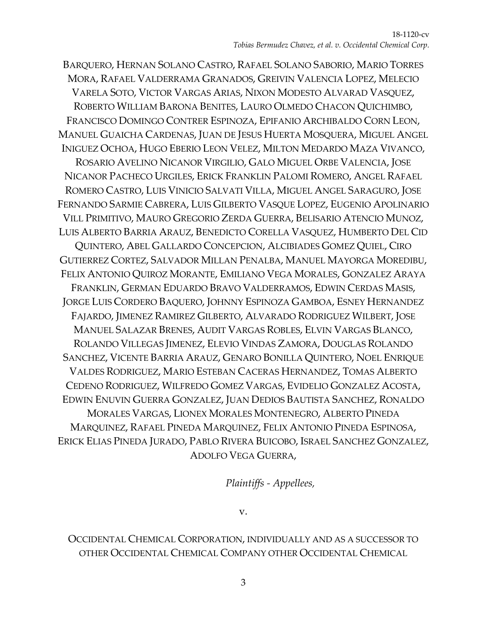BARQUERO, HERNAN SOLANO CASTRO, RAFAEL SOLANO SABORIO, MARIO TORRES MORA, RAFAEL VALDERRAMA GRANADOS, GREIVIN VALENCIA LOPEZ, MELECIO VARELA SOTO, VICTOR VARGAS ARIAS, NIXON MODESTO ALVARAD VASQUEZ, ROBERTO WILLIAM BARONA BENITES, LAURO OLMEDO CHACON QUICHIMBO, FRANCISCO DOMINGO CONTRER ESPINOZA, EPIFANIO ARCHIBALDO CORN LEON, MANUEL GUAICHA CARDENAS, JUAN DE JESUS HUERTA MOSQUERA, MIGUEL ANGEL INIGUEZ OCHOA, HUGO EBERIO LEON VELEZ, MILTON MEDARDO MAZA VIVANCO, ROSARIO AVELINO NICANOR VIRGILIO, GALO MIGUEL ORBE VALENCIA, JOSE NICANOR PACHECO URGILES, ERICK FRANKLIN PALOMI ROMERO, ANGEL RAFAEL ROMERO CASTRO, LUIS VINICIO SALVATI VILLA, MIGUEL ANGEL SARAGURO, JOSE FERNANDO SARMIE CABRERA, LUIS GILBERTO VASQUE LOPEZ, EUGENIO APOLINARIO VILL PRIMITIVO, MAURO GREGORIO ZERDA GUERRA, BELISARIO ATENCIO MUNOZ, LUIS ALBERTO BARRIA ARAUZ, BENEDICTO CORELLA VASQUEZ, HUMBERTO DEL CID QUINTERO, ABEL GALLARDO CONCEPCION, ALCIBIADES GOMEZ QUIEL, CIRO GUTIERREZ CORTEZ, SALVADOR MILLAN PENALBA, MANUEL MAYORGA MOREDIBU, FELIX ANTONIO QUIROZ MORANTE, EMILIANO VEGA MORALES, GONZALEZ ARAYA FRANKLIN, GERMAN EDUARDO BRAVO VALDERRAMOS, EDWIN CERDAS MASIS, JORGE LUIS CORDERO BAQUERO, JOHNNY ESPINOZA GAMBOA, ESNEY HERNANDEZ FAJARDO, JIMENEZ RAMIREZ GILBERTO, ALVARADO RODRIGUEZ WILBERT, JOSE MANUEL SALAZAR BRENES, AUDIT VARGAS ROBLES, ELVIN VARGAS BLANCO, ROLANDO VILLEGAS JIMENEZ, ELEVIO VINDAS ZAMORA, DOUGLAS ROLANDO SANCHEZ, VICENTE BARRIA ARAUZ, GENARO BONILLA QUINTERO, NOEL ENRIQUE VALDES RODRIGUEZ, MARIO ESTEBAN CACERAS HERNANDEZ, TOMAS ALBERTO CEDENO RODRIGUEZ, WILFREDO GOMEZ VARGAS, EVIDELIO GONZALEZ ACOSTA, EDWIN ENUVIN GUERRA GONZALEZ, JUAN DEDIOS BAUTISTA SANCHEZ, RONALDO MORALES VARGAS, LIONEX MORALES MONTENEGRO, ALBERTO PINEDA MARQUINEZ, RAFAEL PINEDA MARQUINEZ, FELIX ANTONIO PINEDA ESPINOSA, ERICK ELIAS PINEDA JURADO, PABLO RIVERA BUICOBO, ISRAEL SANCHEZ GONZALEZ, ADOLFO VEGA GUERRA,

*Plaintiffs ‐ Appellees,*

v.

OCCIDENTAL CHEMICAL CORPORATION, INDIVIDUALLY AND AS A SUCCESSOR TO OTHER OCCIDENTAL CHEMICAL COMPANY OTHER OCCIDENTAL CHEMICAL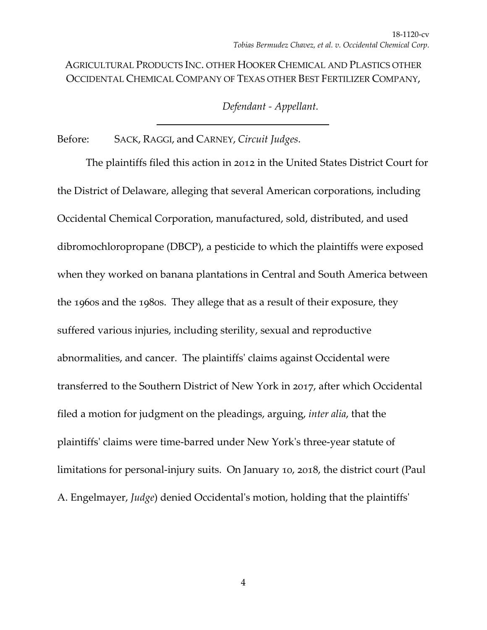# AGRICULTURAL PRODUCTS INC. OTHER HOOKER CHEMICAL AND PLASTICS OTHER OCCIDENTAL CHEMICAL COMPANY OF TEXAS OTHER BEST FERTILIZER COMPANY,

*Defendant ‐ Appellant.*

Before: SACK, RAGGI, and CARNEY, *Circuit Judges*.

The plaintiffs filed this action in 2012 in the United States District Court for the District of Delaware, alleging that several American corporations, including Occidental Chemical Corporation, manufactured, sold, distributed, and used dibromochloropropane (DBCP), a pesticide to which the plaintiffs were exposed when they worked on banana plantations in Central and South America between the 1960s and the 1980s. They allege that as a result of their exposure, they suffered various injuries, including sterility, sexual and reproductive abnormalities, and cancer. The plaintiffsʹ claims against Occidental were transferred to the Southern District of New York in 2017, after which Occidental filed a motion for judgment on the pleadings, arguing, *inter alia*, that the plaintiffsʹ claims were time‐barred under New Yorkʹs three‐year statute of limitations for personal‐injury suits. On January 10, 2018, the district court (Paul A. Engelmayer, *Judge*) denied Occidentalʹs motion, holding that the plaintiffsʹ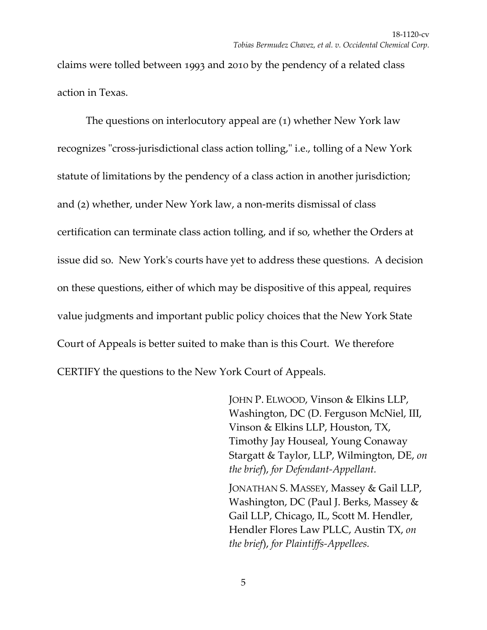claims were tolled between 1993 and 2010 by the pendency of a related class action in Texas.

The questions on interlocutory appeal are (1) whether New York law recognizes "cross-jurisdictional class action tolling," i.e., tolling of a New York statute of limitations by the pendency of a class action in another jurisdiction; and (2) whether, under New York law, a non‐merits dismissal of class certification can terminate class action tolling, and if so, whether the Orders at issue did so. New Yorkʹs courts have yet to address these questions. A decision on these questions, either of which may be dispositive of this appeal, requires value judgments and important public policy choices that the New York State Court of Appeals is better suited to make than is this Court. We therefore CERTIFY the questions to the New York Court of Appeals.

> JOHN P. ELWOOD, Vinson & Elkins LLP, Washington, DC (D. Ferguson McNiel, III, Vinson & Elkins LLP, Houston, TX, Timothy Jay Houseal, Young Conaway Stargatt & Taylor, LLP, Wilmington, DE, *on the brief*), *for Defendant‐Appellant.*

JONATHAN S. MASSEY, Massey & Gail LLP, Washington, DC (Paul J. Berks, Massey & Gail LLP, Chicago, IL, Scott M. Hendler, Hendler Flores Law PLLC, Austin TX, *on the brief*), *for Plaintiffs‐Appellees.*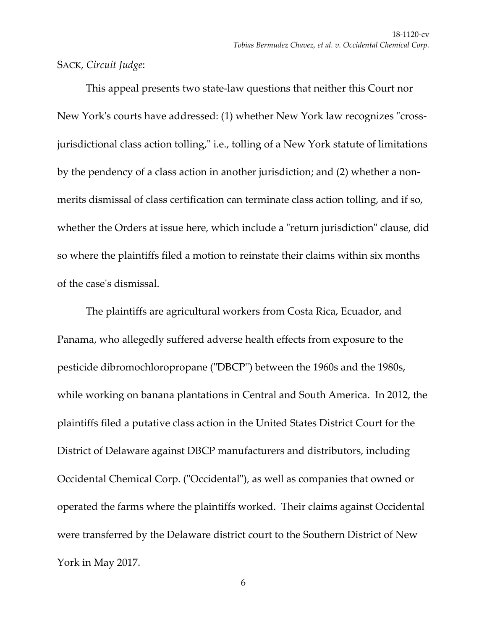#### SACK, *Circuit Judge*:

This appeal presents two state‐law questions that neither this Court nor New York's courts have addressed: (1) whether New York law recognizes "crossjurisdictional class action tolling," i.e., tolling of a New York statute of limitations by the pendency of a class action in another jurisdiction; and (2) whether a non‐ merits dismissal of class certification can terminate class action tolling, and if so, whether the Orders at issue here, which include a "return jurisdiction" clause, did so where the plaintiffs filed a motion to reinstate their claims within six months of the caseʹs dismissal.

The plaintiffs are agricultural workers from Costa Rica, Ecuador, and Panama, who allegedly suffered adverse health effects from exposure to the pesticide dibromochloropropane ("DBCP") between the 1960s and the 1980s, while working on banana plantations in Central and South America. In 2012, the plaintiffs filed a putative class action in the United States District Court for the District of Delaware against DBCP manufacturers and distributors, including Occidental Chemical Corp. ("Occidental"), as well as companies that owned or operated the farms where the plaintiffs worked. Their claims against Occidental were transferred by the Delaware district court to the Southern District of New York in May 2017.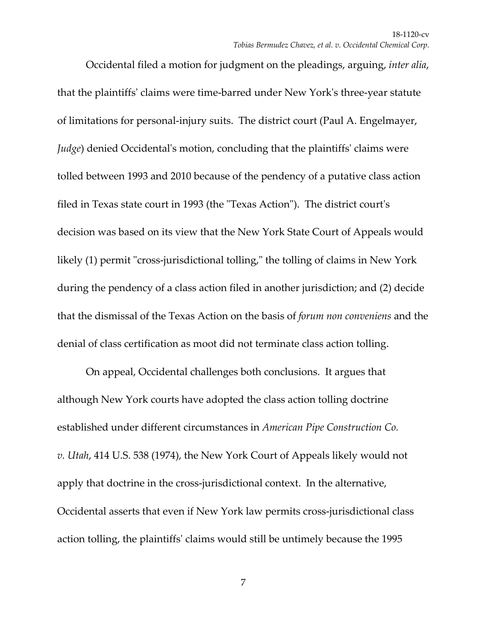Occidental filed a motion for judgment on the pleadings, arguing, *inter alia*, that the plaintiffsʹ claims were time‐barred under New Yorkʹs three‐year statute of limitations for personal‐injury suits. The district court (Paul A. Engelmayer, *Judge*) denied Occidental's motion, concluding that the plaintiffs' claims were tolled between 1993 and 2010 because of the pendency of a putative class action filed in Texas state court in 1993 (the "Texas Action"). The district court's decision was based on its view that the New York State Court of Appeals would likely (1) permit "cross-jurisdictional tolling," the tolling of claims in New York during the pendency of a class action filed in another jurisdiction; and (2) decide that the dismissal of the Texas Action on the basis of *forum non conveniens* and the denial of class certification as moot did not terminate class action tolling.

On appeal, Occidental challenges both conclusions. It argues that although New York courts have adopted the class action tolling doctrine established under different circumstances in *American Pipe Construction Co. v. Utah*, 414 U.S. 538 (1974), the New York Court of Appeals likely would not apply that doctrine in the cross‐jurisdictional context. In the alternative, Occidental asserts that even if New York law permits cross‐jurisdictional class action tolling, the plaintiffsʹ claims would still be untimely because the 1995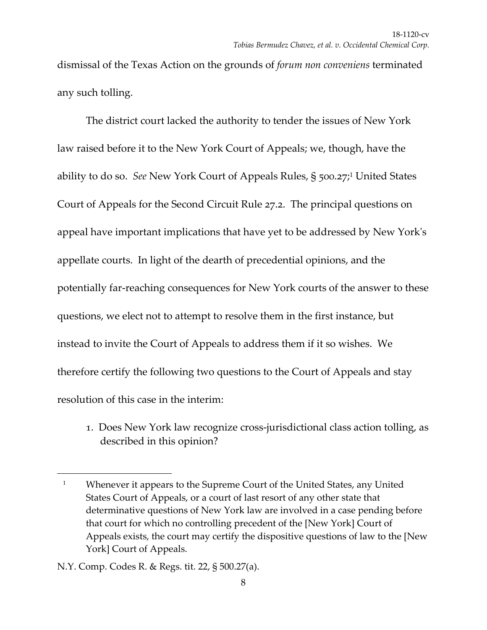dismissal of the Texas Action on the grounds of *forum non conveniens* terminated any such tolling.

The district court lacked the authority to tender the issues of New York law raised before it to the New York Court of Appeals; we, though, have the ability to do so. *See* New York Court of Appeals Rules, § 500.27;1 United States Court of Appeals for the Second Circuit Rule 27.2. The principal questions on appeal have important implications that have yet to be addressed by New Yorkʹs appellate courts. In light of the dearth of precedential opinions, and the potentially far‐reaching consequences for New York courts of the answer to these questions, we elect not to attempt to resolve them in the first instance, but instead to invite the Court of Appeals to address them if it so wishes. We therefore certify the following two questions to the Court of Appeals and stay resolution of this case in the interim:

1. Does New York law recognize cross‐jurisdictional class action tolling, as described in this opinion?

<sup>&</sup>lt;sup>1</sup> Whenever it appears to the Supreme Court of the United States, any United States Court of Appeals, or a court of last resort of any other state that determinative questions of New York law are involved in a case pending before that court for which no controlling precedent of the [New York] Court of Appeals exists, the court may certify the dispositive questions of law to the [New York] Court of Appeals.

N.Y. Comp. Codes R. & Regs. tit. 22, § 500.27(a).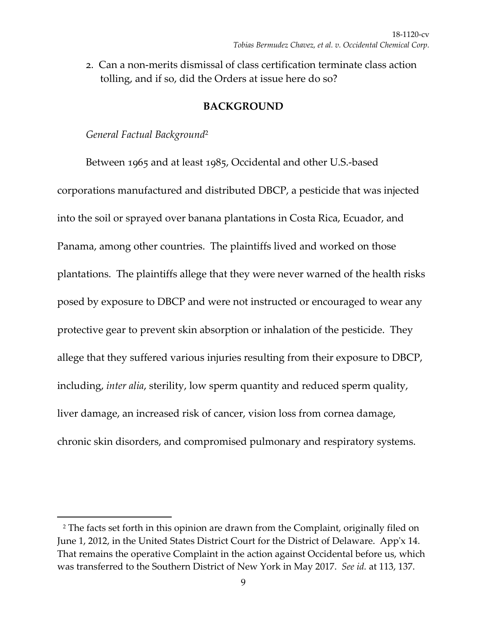2. Can a non‐merits dismissal of class certification terminate class action tolling, and if so, did the Orders at issue here do so?

## **BACKGROUND**

#### *General Factual Background*<sup>2</sup>

Between 1965 and at least 1985, Occidental and other U.S.‐based corporations manufactured and distributed DBCP, a pesticide that was injected into the soil or sprayed over banana plantations in Costa Rica, Ecuador, and Panama, among other countries. The plaintiffs lived and worked on those plantations. The plaintiffs allege that they were never warned of the health risks posed by exposure to DBCP and were not instructed or encouraged to wear any protective gear to prevent skin absorption or inhalation of the pesticide. They allege that they suffered various injuries resulting from their exposure to DBCP, including, *inter alia*, sterility, low sperm quantity and reduced sperm quality, liver damage, an increased risk of cancer, vision loss from cornea damage, chronic skin disorders, and compromised pulmonary and respiratory systems.

<sup>&</sup>lt;sup>2</sup> The facts set forth in this opinion are drawn from the Complaint, originally filed on June 1, 2012, in the United States District Court for the District of Delaware. Appʹx 14. That remains the operative Complaint in the action against Occidental before us, which was transferred to the Southern District of New York in May 2017. *See id.* at 113, 137.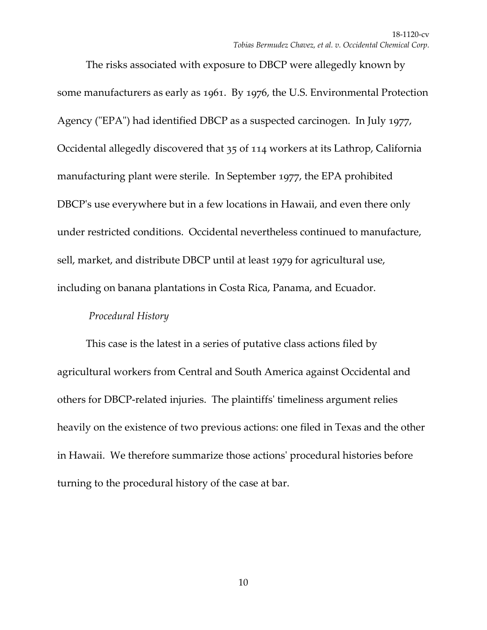The risks associated with exposure to DBCP were allegedly known by some manufacturers as early as 1961. By 1976, the U.S. Environmental Protection Agency ("EPA") had identified DBCP as a suspected carcinogen. In July 1977, Occidental allegedly discovered that 35 of 114 workers at its Lathrop, California manufacturing plant were sterile. In September 1977, the EPA prohibited DBCPʹs use everywhere but in a few locations in Hawaii, and even there only under restricted conditions. Occidental nevertheless continued to manufacture, sell, market, and distribute DBCP until at least 1979 for agricultural use, including on banana plantations in Costa Rica, Panama, and Ecuador.

### *Procedural History*

This case is the latest in a series of putative class actions filed by agricultural workers from Central and South America against Occidental and others for DBCP‐related injuries. The plaintiffsʹ timeliness argument relies heavily on the existence of two previous actions: one filed in Texas and the other in Hawaii. We therefore summarize those actionsʹ procedural histories before turning to the procedural history of the case at bar.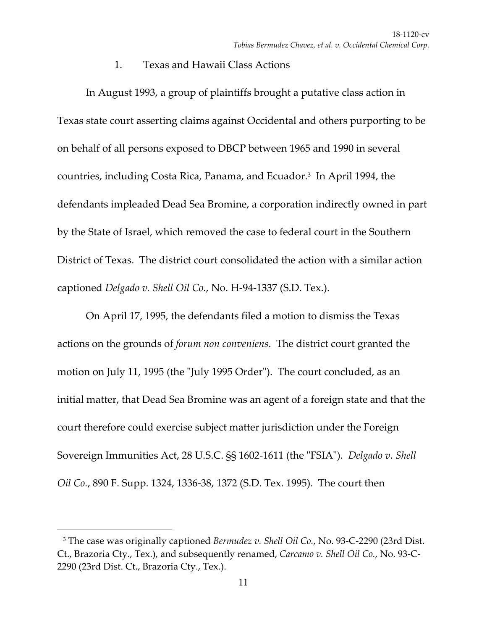## 1. Texas and Hawaii Class Actions

In August 1993, a group of plaintiffs brought a putative class action in Texas state court asserting claims against Occidental and others purporting to be on behalf of all persons exposed to DBCP between 1965 and 1990 in several countries, including Costa Rica, Panama, and Ecuador.3 In April 1994, the defendants impleaded Dead Sea Bromine, a corporation indirectly owned in part by the State of Israel, which removed the case to federal court in the Southern District of Texas. The district court consolidated the action with a similar action captioned *Delgado v. Shell Oil Co.*, No. H‐94‐1337 (S.D. Tex.).

On April 17, 1995, the defendants filed a motion to dismiss the Texas actions on the grounds of *forum non conveniens*. The district court granted the motion on July 11, 1995 (the "July 1995 Order"). The court concluded, as an initial matter, that Dead Sea Bromine was an agent of a foreign state and that the court therefore could exercise subject matter jurisdiction under the Foreign Sovereign Immunities Act, 28 U.S.C. §§ 1602-1611 (the "FSIA"). Delgado *v. Shell Oil Co.*, 890 F. Supp. 1324, 1336‐38, 1372 (S.D. Tex. 1995). The court then

<sup>3</sup> The case was originally captioned *Bermudez v. Shell Oil Co.*, No. 93‐C‐2290 (23rd Dist. Ct., Brazoria Cty., Tex.), and subsequently renamed, *Carcamo v. Shell Oil Co.*, No. 93‐C‐ 2290 (23rd Dist. Ct., Brazoria Cty., Tex.).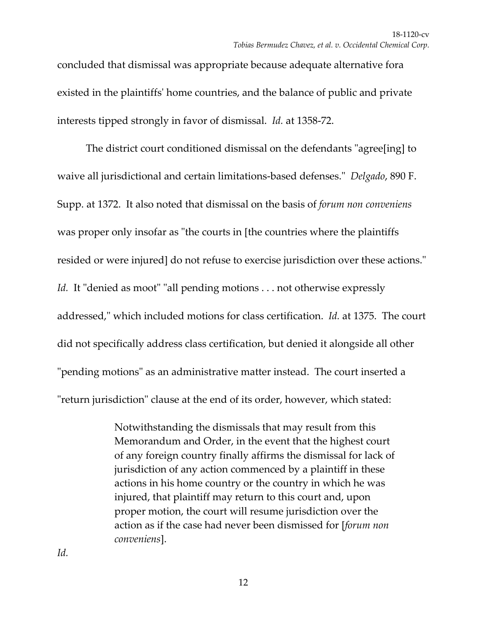concluded that dismissal was appropriate because adequate alternative fora existed in the plaintiffsʹ home countries, and the balance of public and private interests tipped strongly in favor of dismissal. *Id.* at 1358‐72.

The district court conditioned dismissal on the defendants "agree[ing] to waive all jurisdictional and certain limitations-based defenses." *Delgado*, 890 F. Supp. at 1372. It also noted that dismissal on the basis of *forum non conveniens* was proper only insofar as "the courts in [the countries where the plaintiffs resided or were injured] do not refuse to exercise jurisdiction over these actions." *Id.* It "denied as moot" "all pending motions . . . not otherwise expressly addressed," which included motions for class certification. *Id.* at 1375. The court did not specifically address class certification, but denied it alongside all other "pending motions" as an administrative matter instead. The court inserted a "return jurisdiction" clause at the end of its order, however, which stated:

> Notwithstanding the dismissals that may result from this Memorandum and Order, in the event that the highest court of any foreign country finally affirms the dismissal for lack of jurisdiction of any action commenced by a plaintiff in these actions in his home country or the country in which he was injured, that plaintiff may return to this court and, upon proper motion, the court will resume jurisdiction over the action as if the case had never been dismissed for [*forum non conveniens*].

*Id.*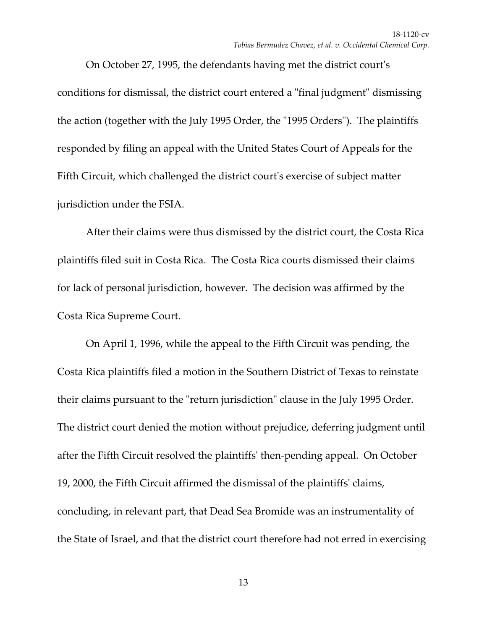On October 27, 1995, the defendants having met the district courtʹs conditions for dismissal, the district court entered a "final judgment" dismissing the action (together with the July 1995 Order, the "1995 Orders"). The plaintiffs responded by filing an appeal with the United States Court of Appeals for the Fifth Circuit, which challenged the district court's exercise of subject matter jurisdiction under the FSIA.

After their claims were thus dismissed by the district court, the Costa Rica plaintiffs filed suit in Costa Rica. The Costa Rica courts dismissed their claims for lack of personal jurisdiction, however. The decision was affirmed by the Costa Rica Supreme Court.

On April 1, 1996, while the appeal to the Fifth Circuit was pending, the Costa Rica plaintiffs filed a motion in the Southern District of Texas to reinstate their claims pursuant to the "return jurisdiction" clause in the July 1995 Order. The district court denied the motion without prejudice, deferring judgment until after the Fifth Circuit resolved the plaintiffsʹ then‐pending appeal. On October 19, 2000, the Fifth Circuit affirmed the dismissal of the plaintiffsʹ claims, concluding, in relevant part, that Dead Sea Bromide was an instrumentality of the State of Israel, and that the district court therefore had not erred in exercising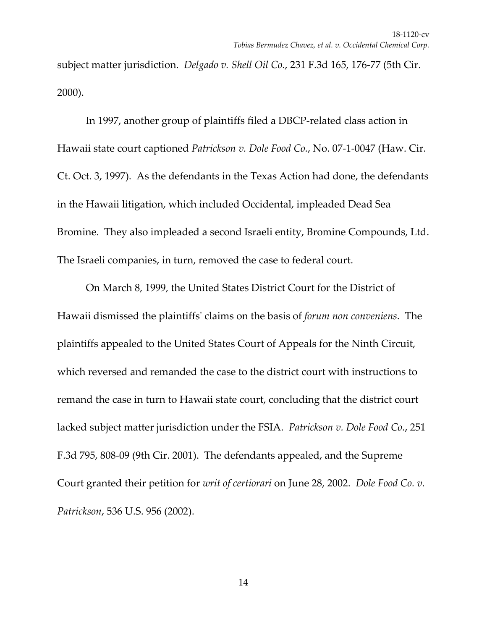subject matter jurisdiction. *Delgado v. Shell Oil Co.*, 231 F.3d 165, 176‐77 (5th Cir. 2000).

In 1997, another group of plaintiffs filed a DBCP‐related class action in Hawaii state court captioned *Patrickson v. Dole Food Co.*, No. 07‐1‐0047 (Haw. Cir. Ct. Oct. 3, 1997). As the defendants in the Texas Action had done, the defendants in the Hawaii litigation, which included Occidental, impleaded Dead Sea Bromine. They also impleaded a second Israeli entity, Bromine Compounds, Ltd. The Israeli companies, in turn, removed the case to federal court.

On March 8, 1999, the United States District Court for the District of Hawaii dismissed the plaintiffsʹ claims on the basis of *forum non conveniens*. The plaintiffs appealed to the United States Court of Appeals for the Ninth Circuit, which reversed and remanded the case to the district court with instructions to remand the case in turn to Hawaii state court, concluding that the district court lacked subject matter jurisdiction under the FSIA. *Patrickson v. Dole Food Co.*, 251 F.3d 795, 808‐09 (9th Cir. 2001). The defendants appealed, and the Supreme Court granted their petition for *writ of certiorari* on June 28, 2002. *Dole Food Co. v. Patrickson*, 536 U.S. 956 (2002).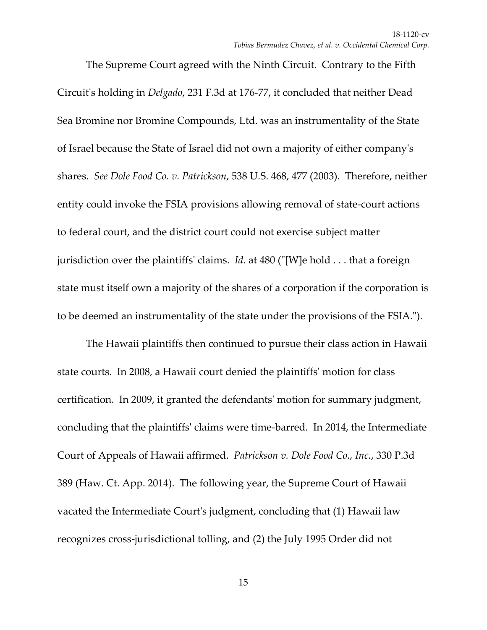The Supreme Court agreed with the Ninth Circuit. Contrary to the Fifth Circuitʹs holding in *Delgado*, 231 F.3d at 176‐77, it concluded that neither Dead Sea Bromine nor Bromine Compounds, Ltd. was an instrumentality of the State of Israel because the State of Israel did not own a majority of either companyʹs shares. *See Dole Food Co. v. Patrickson*, 538 U.S. 468, 477 (2003). Therefore, neither entity could invoke the FSIA provisions allowing removal of state‐court actions to federal court, and the district court could not exercise subject matter jurisdiction over the plaintiffs' claims. *Id.* at 480 ("[W]e hold . . . that a foreign state must itself own a majority of the shares of a corporation if the corporation is to be deemed an instrumentality of the state under the provisions of the FSIA.").

The Hawaii plaintiffs then continued to pursue their class action in Hawaii state courts. In 2008, a Hawaii court denied the plaintiffsʹ motion for class certification. In 2009, it granted the defendantsʹ motion for summary judgment, concluding that the plaintiffsʹ claims were time‐barred. In 2014, the Intermediate Court of Appeals of Hawaii affirmed. *Patrickson v. Dole Food Co., Inc.*, 330 P.3d 389 (Haw. Ct. App. 2014). The following year, the Supreme Court of Hawaii vacated the Intermediate Courtʹs judgment, concluding that (1) Hawaii law recognizes cross‐jurisdictional tolling, and (2) the July 1995 Order did not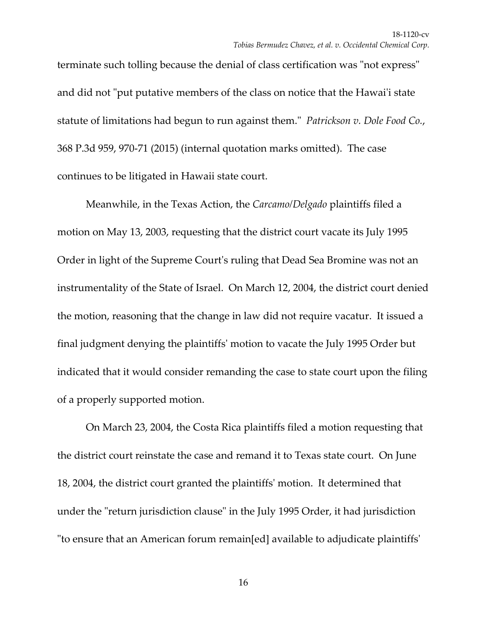terminate such tolling because the denial of class certification was "not express" and did not "put putative members of the class on notice that the Hawai'i state statute of limitations had begun to run against them.ʺ *Patrickson v. Dole Food Co.*, 368 P.3d 959, 970‐71 (2015) (internal quotation marks omitted). The case continues to be litigated in Hawaii state court.

Meanwhile, in the Texas Action, the *Carcamo/Delgado* plaintiffs filed a motion on May 13, 2003, requesting that the district court vacate its July 1995 Order in light of the Supreme Courtʹs ruling that Dead Sea Bromine was not an instrumentality of the State of Israel. On March 12, 2004, the district court denied the motion, reasoning that the change in law did not require vacatur. It issued a final judgment denying the plaintiffsʹ motion to vacate the July 1995 Order but indicated that it would consider remanding the case to state court upon the filing of a properly supported motion.

On March 23, 2004, the Costa Rica plaintiffs filed a motion requesting that the district court reinstate the case and remand it to Texas state court. On June 18, 2004, the district court granted the plaintiffsʹ motion. It determined that under the "return jurisdiction clause" in the July 1995 Order, it had jurisdiction "to ensure that an American forum remain[ed] available to adjudicate plaintiffs'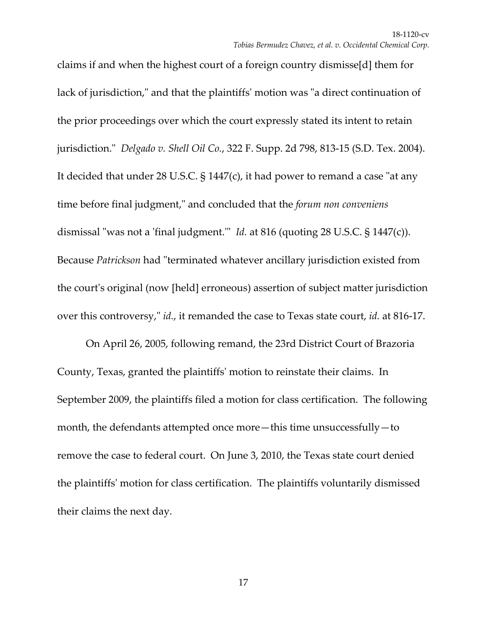claims if and when the highest court of a foreign country dismisse[d] them for lack of jurisdiction," and that the plaintiffs' motion was "a direct continuation of the prior proceedings over which the court expressly stated its intent to retain jurisdiction.ʺ *Delgado v. Shell Oil Co.*, 322 F. Supp. 2d 798, 813‐15 (S.D. Tex. 2004). It decided that under  $28$  U.S.C. § 1447(c), it had power to remand a case "at any time before final judgment,ʺ and concluded that the *forum non conveniens* dismissal "was not a 'final judgment." *Id.* at 816 (quoting  $28$  U.S.C. § 1447(c)). Because *Patrickson* had "terminated whatever ancillary jurisdiction existed from the courtʹs original (now [held] erroneous) assertion of subject matter jurisdiction over this controversy," *id.*, it remanded the case to Texas state court, *id.* at 816-17.

On April 26, 2005, following remand, the 23rd District Court of Brazoria County, Texas, granted the plaintiffsʹ motion to reinstate their claims. In September 2009, the plaintiffs filed a motion for class certification. The following month, the defendants attempted once more—this time unsuccessfully—to remove the case to federal court. On June 3, 2010, the Texas state court denied the plaintiffsʹ motion for class certification. The plaintiffs voluntarily dismissed their claims the next day.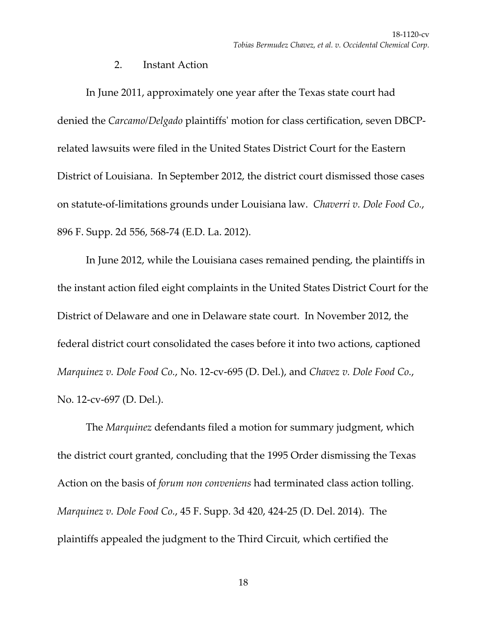#### 2. Instant Action

In June 2011, approximately one year after the Texas state court had denied the *Carcamo/Delgado* plaintiffsʹ motion for class certification, seven DBCP‐ related lawsuits were filed in the United States District Court for the Eastern District of Louisiana. In September 2012, the district court dismissed those cases on statute‐of‐limitations grounds under Louisiana law. *Chaverri v. Dole Food Co.*, 896 F. Supp. 2d 556, 568‐74 (E.D. La. 2012).

In June 2012, while the Louisiana cases remained pending, the plaintiffs in the instant action filed eight complaints in the United States District Court for the District of Delaware and one in Delaware state court. In November 2012, the federal district court consolidated the cases before it into two actions, captioned *Marquinez v. Dole Food Co.*, No. 12‐cv‐695 (D. Del.), and *Chavez v. Dole Food Co.*, No. 12‐cv‐697 (D. Del.).

The *Marquinez* defendants filed a motion for summary judgment, which the district court granted, concluding that the 1995 Order dismissing the Texas Action on the basis of *forum non conveniens* had terminated class action tolling. *Marquinez v. Dole Food Co.*, 45 F. Supp. 3d 420, 424‐25 (D. Del. 2014). The plaintiffs appealed the judgment to the Third Circuit, which certified the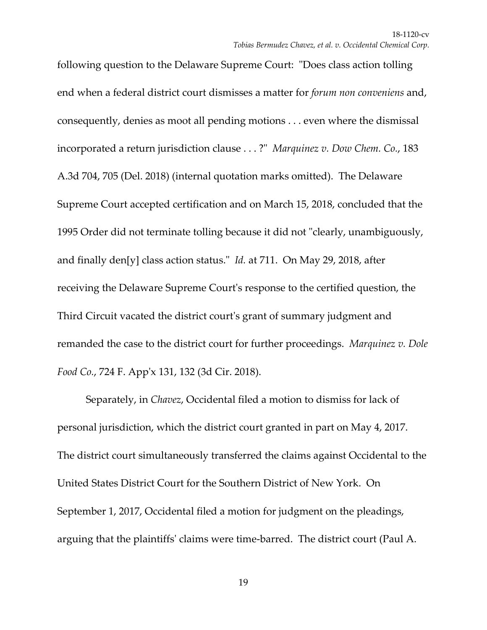following question to the Delaware Supreme Court: "Does class action tolling end when a federal district court dismisses a matter for *forum non conveniens* and, consequently, denies as moot all pending motions . . . even where the dismissal incorporated a return jurisdiction clause . . . ?ʺ *Marquinez v. Dow Chem. Co.*, 183 A.3d 704, 705 (Del. 2018) (internal quotation marks omitted). The Delaware Supreme Court accepted certification and on March 15, 2018, concluded that the 1995 Order did not terminate tolling because it did not "clearly, unambiguously, and finally den[y] class action status." *Id.* at 711. On May 29, 2018, after receiving the Delaware Supreme Courtʹs response to the certified question, the Third Circuit vacated the district courtʹs grant of summary judgment and remanded the case to the district court for further proceedings. *Marquinez v. Dole Food Co.*, 724 F. Appʹx 131, 132 (3d Cir. 2018).

Separately, in *Chavez*, Occidental filed a motion to dismiss for lack of personal jurisdiction, which the district court granted in part on May 4, 2017. The district court simultaneously transferred the claims against Occidental to the United States District Court for the Southern District of New York. On September 1, 2017, Occidental filed a motion for judgment on the pleadings, arguing that the plaintiffsʹ claims were time‐barred. The district court (Paul A.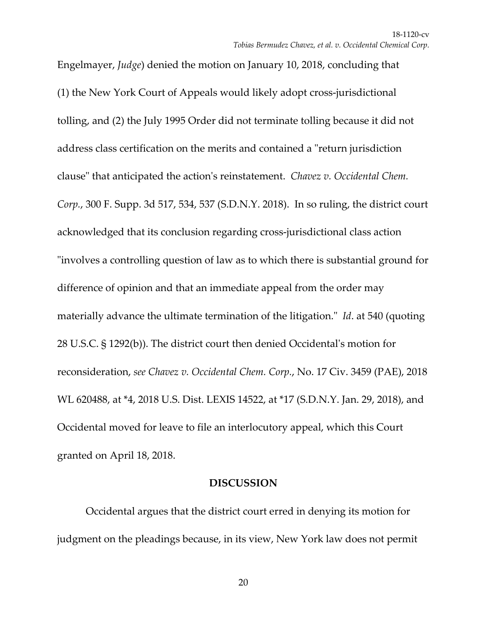Engelmayer, *Judge*) denied the motion on January 10, 2018, concluding that (1) the New York Court of Appeals would likely adopt cross‐jurisdictional tolling, and (2) the July 1995 Order did not terminate tolling because it did not address class certification on the merits and contained a "return jurisdiction clauseʺ that anticipated the actionʹs reinstatement. *Chavez v. Occidental Chem. Corp.*, 300 F. Supp. 3d 517, 534, 537 (S.D.N.Y. 2018). In so ruling, the district court acknowledged that its conclusion regarding cross‐jurisdictional class action ʺinvolves a controlling question of law as to which there is substantial ground for difference of opinion and that an immediate appeal from the order may materially advance the ultimate termination of the litigation.<sup>*'Id.* at 540 (quoting</sup> 28 U.S.C. § 1292(b)). The district court then denied Occidentalʹs motion for reconsideration, *see Chavez v. Occidental Chem. Corp.*, No. 17 Civ. 3459 (PAE), 2018 WL 620488, at \*4, 2018 U.S. Dist. LEXIS 14522, at \*17 (S.D.N.Y. Jan. 29, 2018), and Occidental moved for leave to file an interlocutory appeal, which this Court granted on April 18, 2018.

#### **DISCUSSION**

Occidental argues that the district court erred in denying its motion for judgment on the pleadings because, in its view, New York law does not permit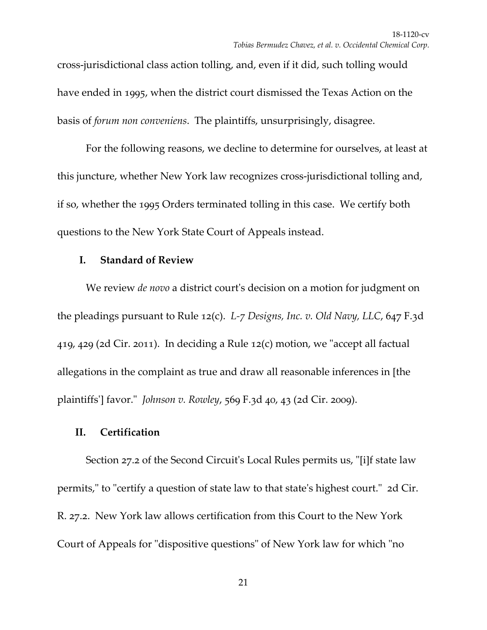cross‐jurisdictional class action tolling, and, even if it did, such tolling would have ended in 1995, when the district court dismissed the Texas Action on the basis of *forum non conveniens*. The plaintiffs, unsurprisingly, disagree.

For the following reasons, we decline to determine for ourselves, at least at this juncture, whether New York law recognizes cross‐jurisdictional tolling and, if so, whether the 1995 Orders terminated tolling in this case. We certify both questions to the New York State Court of Appeals instead.

## **I. Standard of Review**

We review *de novo* a district courtʹs decision on a motion for judgment on the pleadings pursuant to Rule 12(c). *L‐7 Designs, Inc. v. Old Navy, LLC*, 647 F.3d  $419$ ,  $429$  (2d Cir. 2011). In deciding a Rule 12(c) motion, we "accept all factual allegations in the complaint as true and draw all reasonable inferences in [the plaintiffsʹ] favor.ʺ *Johnson v. Rowley*, 569 F.3d 40, 43 (2d Cir. 2009).

## **II. Certification**

Section 27.2 of the Second Circuit's Local Rules permits us, "[i]f state law permits," to "certify a question of state law to that state's highest court." 2d Cir. R. 27.2. New York law allows certification from this Court to the New York Court of Appeals for "dispositive questions" of New York law for which "no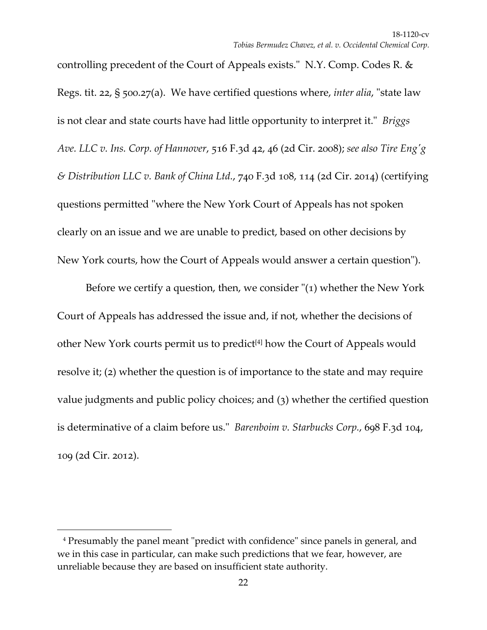controlling precedent of the Court of Appeals exists." N.Y. Comp. Codes R. & Regs. tit. 22, § 500.27(a). We have certified questions where, *inter alia*, "state law is not clear and state courts have had little opportunity to interpret it." *Briggs Ave. LLC v. Ins. Corp. of Hannover*, 516 F.3d 42, 46 (2d Cir. 2008); *see also Tire Engʹg & Distribution LLC v. Bank of China Ltd.*, 740 F.3d 108, 114 (2d Cir. 2014) (certifying questions permitted "where the New York Court of Appeals has not spoken clearly on an issue and we are unable to predict, based on other decisions by New York courts, how the Court of Appeals would answer a certain question").

Before we certify a question, then, we consider  $\Gamma$ (1) whether the New York Court of Appeals has addressed the issue and, if not, whether the decisions of other New York courts permit us to predict<sup>[4]</sup> how the Court of Appeals would resolve it; (2) whether the question is of importance to the state and may require value judgments and public policy choices; and (3) whether the certified question is determinative of a claim before us." *Barenboim v. Starbucks Corp.*, 698 F.3d 104, 109 (2d Cir. 2012).

<sup>&</sup>lt;sup>4</sup> Presumably the panel meant "predict with confidence" since panels in general, and we in this case in particular, can make such predictions that we fear, however, are unreliable because they are based on insufficient state authority.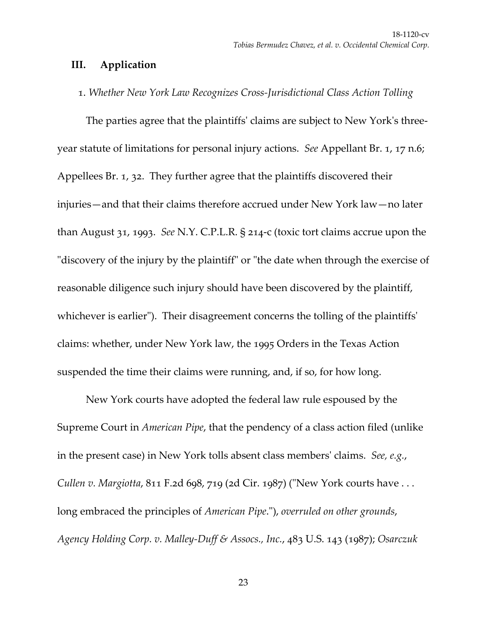## **III. Application**

1. *Whether New York Law Recognizes Cross‐Jurisdictional Class Action Tolling*

The parties agree that the plaintiffs' claims are subject to New York's threeyear statute of limitations for personal injury actions. *See* Appellant Br. 1, 17 n.6; Appellees Br. 1, 32. They further agree that the plaintiffs discovered their injuries—and that their claims therefore accrued under New York law—no later than August 31, 1993. *See* N.Y. C.P.L.R. § 214‐c (toxic tort claims accrue upon the "discovery of the injury by the plaintiff" or "the date when through the exercise of reasonable diligence such injury should have been discovered by the plaintiff, whichever is earlier"). Their disagreement concerns the tolling of the plaintiffs' claims: whether, under New York law, the 1995 Orders in the Texas Action suspended the time their claims were running, and, if so, for how long.

New York courts have adopted the federal law rule espoused by the Supreme Court in *American Pipe*, that the pendency of a class action filed (unlike in the present case) in New York tolls absent class membersʹ claims. *See, e.g.*, *Cullen v. Margiotta, 811 F.2d 698, 719 (2d Cir. 1987)* ("New York courts have ... long embraced the principles of *American Pipe*.ʺ), *overruled on other grounds*, *Agency Holding Corp. v. Malley‐Duff & Assocs., Inc.*, 483 U.S. 143 (1987); *Osarczuk*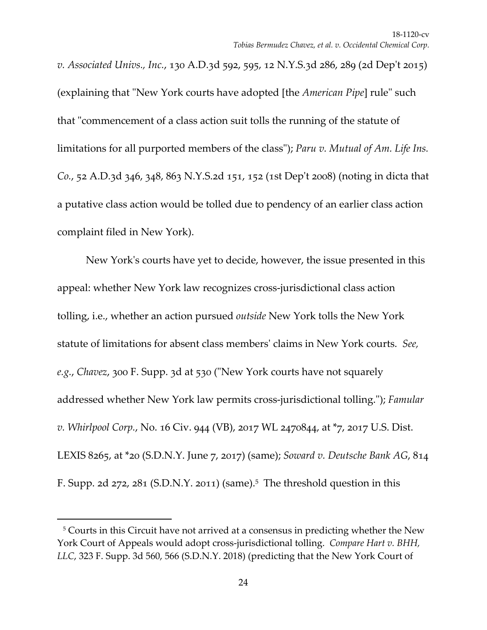*v. Associated Univs., Inc.*, 130 A.D.3d 592, 595, 12 N.Y.S.3d 286, 289 (2d Depʹt 2015) (explaining that "New York courts have adopted [the *American Pipe*] rule" such that "commencement of a class action suit tolls the running of the statute of limitations for all purported members of the class"); *Paru v. Mutual of Am. Life Ins. Co.*, 52 A.D.3d 346, 348, 863 N.Y.S.2d 151, 152 (1st Depʹt 2008) (noting in dicta that a putative class action would be tolled due to pendency of an earlier class action complaint filed in New York).

New Yorkʹs courts have yet to decide, however, the issue presented in this appeal: whether New York law recognizes cross‐jurisdictional class action tolling, i.e., whether an action pursued *outside* New York tolls the New York statute of limitations for absent class membersʹ claims in New York courts. *See, e.g.*, *Chavez*, 300 F. Supp. 3d at 530 (ʺNew York courts have not squarely addressed whether New York law permits cross-jurisdictional tolling."); *Famular v. Whirlpool Corp.*, No. 16 Civ. 944 (VB), 2017 WL 2470844, at \*7, 2017 U.S. Dist. LEXIS 8265, at \*20 (S.D.N.Y. June 7, 2017) (same); *Soward v. Deutsche Bank AG*, 814 F. Supp. 2d 272, 281 (S.D.N.Y. 2011) (same).<sup>5</sup> The threshold question in this

<sup>&</sup>lt;sup>5</sup> Courts in this Circuit have not arrived at a consensus in predicting whether the New York Court of Appeals would adopt cross‐jurisdictional tolling. *Compare Hart v. BHH, LLC*, 323 F. Supp. 3d 560, 566 (S.D.N.Y. 2018) (predicting that the New York Court of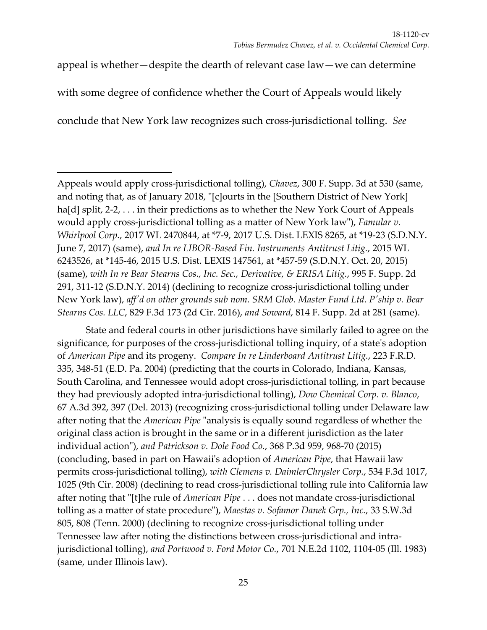appeal is whether—despite the dearth of relevant case law—we can determine with some degree of confidence whether the Court of Appeals would likely

conclude that New York law recognizes such cross‐jurisdictional tolling. *See*

Appeals would apply cross‐jurisdictional tolling), *Chavez*, 300 F. Supp. 3d at 530 (same, and noting that, as of January 2018, "[c]ourts in the [Southern District of New York] ha[d] split, 2-2, . . . in their predictions as to whether the New York Court of Appeals would apply cross-jurisdictional tolling as a matter of New York law"), *Famular v*. *Whirlpool Corp.*, 2017 WL 2470844, at \*7‐9, 2017 U.S. Dist. LEXIS 8265, at \*19‐23 (S.D.N.Y. June 7, 2017) (same), *and In re LIBOR‐Based Fin. Instruments Antitrust Litig.*, 2015 WL 6243526, at \*145‐46, 2015 U.S. Dist. LEXIS 147561, at \*457‐59 (S.D.N.Y. Oct. 20, 2015) (same), *with In re Bear Stearns Cos., Inc. Sec., Derivative, & ERISA Litig.*, 995 F. Supp. 2d 291, 311‐12 (S.D.N.Y. 2014) (declining to recognize cross‐jurisdictional tolling under New York law), *affʹd on other grounds sub nom. SRM Glob. Master Fund Ltd. Pʹship v. Bear Stearns Cos. LLC*, 829 F.3d 173 (2d Cir. 2016), *and Soward*, 814 F. Supp. 2d at 281 (same).

State and federal courts in other jurisdictions have similarly failed to agree on the significance, for purposes of the cross-jurisdictional tolling inquiry, of a state's adoption of *American Pipe* and its progeny. *Compare In re Linderboard Antitrust Litig.*, 223 F.R.D. 335, 348‐51 (E.D. Pa. 2004) (predicting that the courts in Colorado, Indiana, Kansas, South Carolina, and Tennessee would adopt cross‐jurisdictional tolling, in part because they had previously adopted intra‐jurisdictional tolling), *Dow Chemical Corp. v. Blanco*, 67 A.3d 392, 397 (Del. 2013) (recognizing cross‐jurisdictional tolling under Delaware law after noting that the *American Pipe* "analysis is equally sound regardless of whether the original class action is brought in the same or in a different jurisdiction as the later individual actionʺ), *and Patrickson v. Dole Food Co.*, 368 P.3d 959, 968‐70 (2015) (concluding, based in part on Hawaiiʹs adoption of *American Pipe*, that Hawaii law permits cross‐jurisdictional tolling), *with Clemens v. DaimlerChrysler Corp.*, 534 F.3d 1017, 1025 (9th Cir. 2008) (declining to read cross‐jurisdictional tolling rule into California law after noting that ʺ[t]he rule of *American Pipe* . . . does not mandate cross‐jurisdictional tolling as a matter of state procedureʺ), *Maestas v. Sofamor Danek Grp., Inc.*, 33 S.W.3d 805, 808 (Tenn. 2000) (declining to recognize cross‐jurisdictional tolling under Tennessee law after noting the distinctions between cross‐jurisdictional and intra‐ jurisdictional tolling), *and Portwood v. Ford Motor Co.*, 701 N.E.2d 1102, 1104‐05 (Ill. 1983) (same, under Illinois law).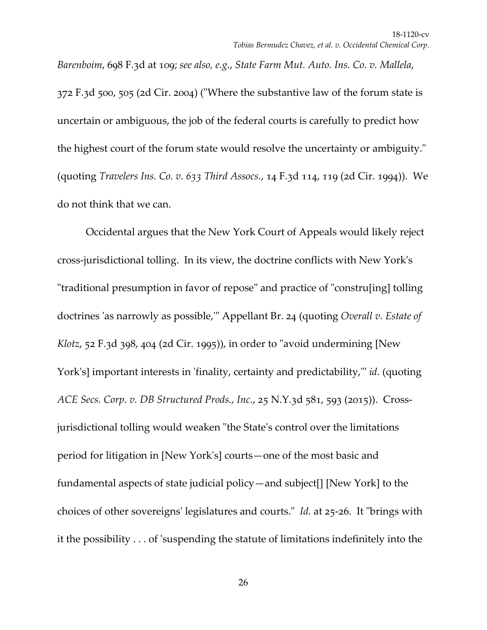*Barenboim*, 698 F.3d at 109; *see also, e.g.*, *State Farm Mut. Auto. Ins. Co. v. Mallela*,  $372$  F.3d 500, 505 (2d Cir. 2004) ("Where the substantive law of the forum state is uncertain or ambiguous, the job of the federal courts is carefully to predict how the highest court of the forum state would resolve the uncertainty or ambiguity." (quoting *Travelers Ins. Co. v. 633 Third Assocs.*, 14 F.3d 114, 119 (2d Cir. 1994)). We do not think that we can.

Occidental argues that the New York Court of Appeals would likely reject cross‐jurisdictional tolling. In its view, the doctrine conflicts with New Yorkʹs "traditional presumption in favor of repose" and practice of "constru[ing] tolling doctrines ʹas narrowly as possible,ʹʺ Appellant Br. 24 (quoting *Overall v. Estate of Klotz*, 52 F.3d 398, 404 (2d Cir. 1995)), in order to "avoid undermining [New York's] important interests in 'finality, certainty and predictability,'" *id.* (quoting *ACE Secs. Corp. v. DB Structured Prods., Inc.*, 25 N.Y.3d 581, 593 (2015)). Cross‐ jurisdictional tolling would weaken "the State's control over the limitations period for litigation in [New Yorkʹs] courts—one of the most basic and fundamental aspects of state judicial policy—and subject[] [New York] to the choices of other sovereigns' legislatures and courts." *Id.* at 25-26. It "brings with it the possibility . . . of 'suspending the statute of limitations indefinitely into the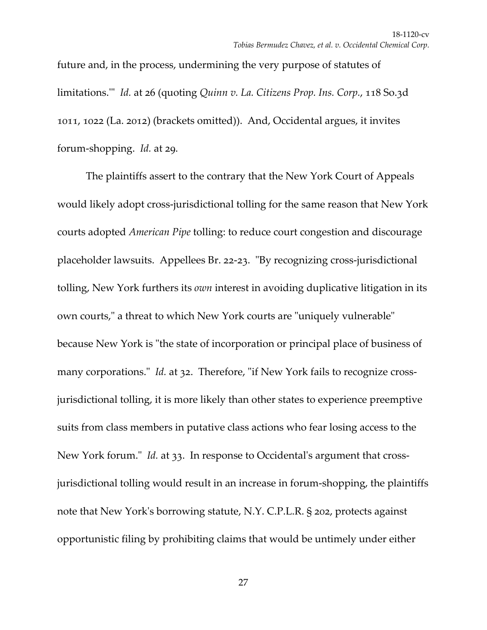future and, in the process, undermining the very purpose of statutes of limitations.ʹʺ *Id.* at 26 (quoting *Quinn v. La. Citizens Prop. Ins. Corp.*, 118 So.3d 1011, 1022 (La. 2012) (brackets omitted)). And, Occidental argues, it invites forum‐shopping. *Id.* at 29.

The plaintiffs assert to the contrary that the New York Court of Appeals would likely adopt cross-jurisdictional tolling for the same reason that New York courts adopted *American Pipe* tolling: to reduce court congestion and discourage placeholder lawsuits. Appellees Br. 22-23. "By recognizing cross-jurisdictional tolling, New York furthers its *own* interest in avoiding duplicative litigation in its own courts," a threat to which New York courts are "uniquely vulnerable" because New York is "the state of incorporation or principal place of business of many corporations.<sup>"</sup> *Id.* at 32. Therefore, "if New York fails to recognize crossjurisdictional tolling, it is more likely than other states to experience preemptive suits from class members in putative class actions who fear losing access to the New York forum.<sup>"</sup> *Id.* at 33. In response to Occidental's argument that crossjurisdictional tolling would result in an increase in forum‐shopping, the plaintiffs note that New York's borrowing statute, N.Y. C.P.L.R. § 202, protects against opportunistic filing by prohibiting claims that would be untimely under either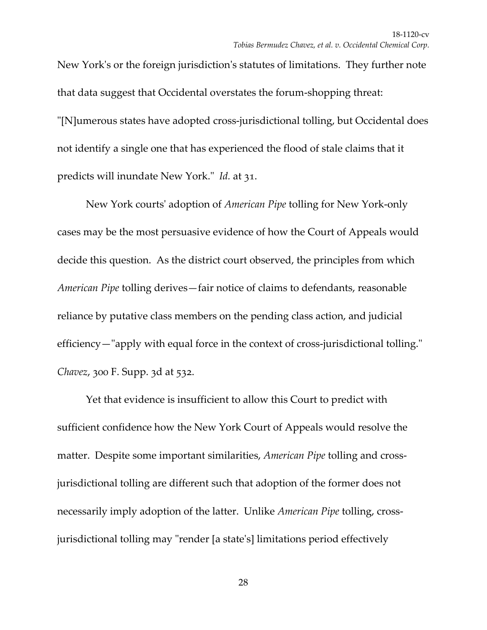New York's or the foreign jurisdiction's statutes of limitations. They further note that data suggest that Occidental overstates the forum‐shopping threat: ʺ[N]umerous states have adopted cross‐jurisdictional tolling, but Occidental does not identify a single one that has experienced the flood of stale claims that it predicts will inundate New York.<sup>"</sup> *Id.* at 31.

New York courtsʹ adoption of *American Pipe* tolling for New York‐only cases may be the most persuasive evidence of how the Court of Appeals would decide this question. As the district court observed, the principles from which *American Pipe* tolling derives—fair notice of claims to defendants, reasonable reliance by putative class members on the pending class action, and judicial efficiency—"apply with equal force in the context of cross-jurisdictional tolling." *Chavez*, 300 F. Supp. 3d at 532.

Yet that evidence is insufficient to allow this Court to predict with sufficient confidence how the New York Court of Appeals would resolve the matter. Despite some important similarities, *American Pipe* tolling and crossjurisdictional tolling are different such that adoption of the former does not necessarily imply adoption of the latter. Unlike *American Pipe* tolling, cross‐ jurisdictional tolling may "render [a state's] limitations period effectively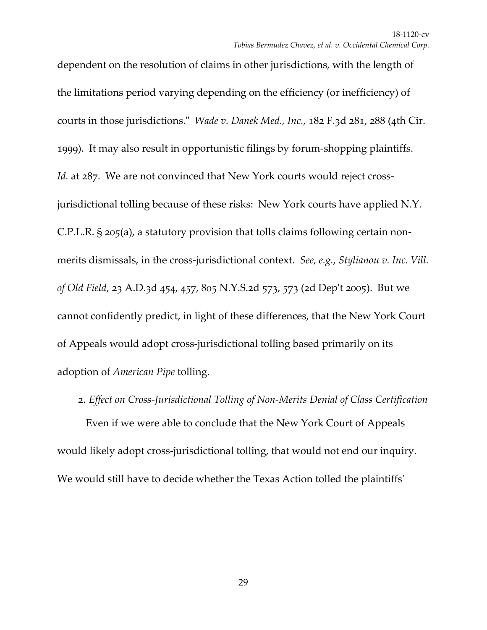dependent on the resolution of claims in other jurisdictions, with the length of the limitations period varying depending on the efficiency (or inefficiency) of courts in those jurisdictions.ʺ *Wade v. Danek Med., Inc.*, 182 F.3d 281, 288 (4th Cir. 1999). It may also result in opportunistic filings by forum‐shopping plaintiffs. *Id.* at  $287$ . We are not convinced that New York courts would reject crossjurisdictional tolling because of these risks: New York courts have applied N.Y. C.P.L.R. § 205(a), a statutory provision that tolls claims following certain non‐ merits dismissals, in the cross‐jurisdictional context. *See, e.g.*, *Stylianou v. Inc. Vill. of Old Field*, 23 A.D.3d 454, 457, 805 N.Y.S.2d 573, 573 (2d Depʹt 2005). But we cannot confidently predict, in light of these differences, that the New York Court of Appeals would adopt cross‐jurisdictional tolling based primarily on its adoption of *American Pipe* tolling.

2. *Effect on Cross‐Jurisdictional Tolling of Non‐Merits Denial of Class Certification*

Even if we were able to conclude that the New York Court of Appeals would likely adopt cross-jurisdictional tolling, that would not end our inquiry. We would still have to decide whether the Texas Action tolled the plaintiffs'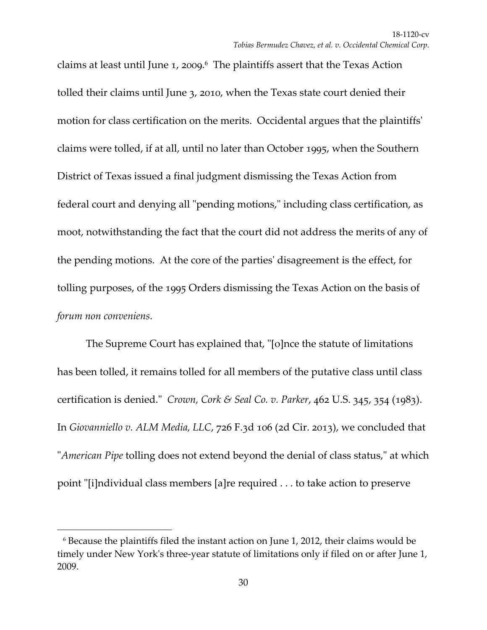claims at least until June 1, 2009.6 The plaintiffs assert that the Texas Action tolled their claims until June 3, 2010, when the Texas state court denied their motion for class certification on the merits. Occidental argues that the plaintiffs' claims were tolled, if at all, until no later than October 1995, when the Southern District of Texas issued a final judgment dismissing the Texas Action from federal court and denying all "pending motions," including class certification, as moot, notwithstanding the fact that the court did not address the merits of any of the pending motions. At the core of the partiesʹ disagreement is the effect, for tolling purposes, of the 1995 Orders dismissing the Texas Action on the basis of *forum non conveniens*.

The Supreme Court has explained that, "[o]nce the statute of limitations has been tolled, it remains tolled for all members of the putative class until class certification is denied.ʺ *Crown, Cork & Seal Co. v. Parker*, 462 U.S. 345, 354 (1983). In *Giovanniello v. ALM Media, LLC*, 726 F.3d 106 (2d Cir. 2013), we concluded that *<sup>''</sup>American Pipe* tolling does not extend beyond the denial of class status," at which point "[i]ndividual class members [a]re required . . . to take action to preserve

<sup>6</sup> Because the plaintiffs filed the instant action on June 1, 2012, their claims would be timely under New York's three-year statute of limitations only if filed on or after June 1, 2009.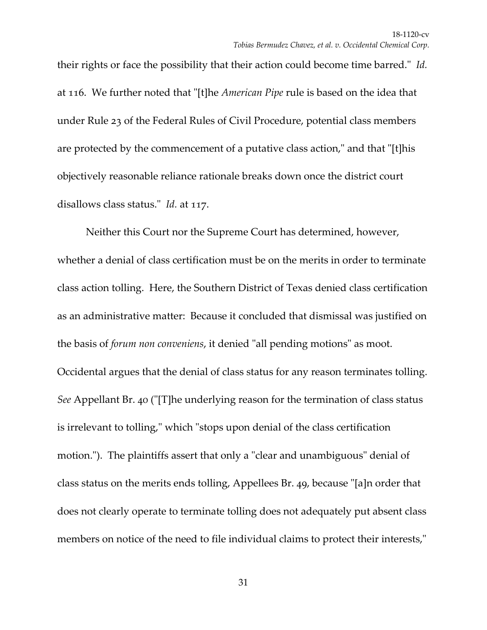their rights or face the possibility that their action could become time barred.<sup>"</sup> Id. at 116. We further noted that "[t]he *American Pipe* rule is based on the idea that under Rule 23 of the Federal Rules of Civil Procedure, potential class members are protected by the commencement of a putative class action," and that "[t]his objectively reasonable reliance rationale breaks down once the district court disallows class status.<sup>"</sup> *Id.* at 117.

Neither this Court nor the Supreme Court has determined, however, whether a denial of class certification must be on the merits in order to terminate class action tolling. Here, the Southern District of Texas denied class certification as an administrative matter: Because it concluded that dismissal was justified on the basis of *forum non conveniens*, it denied "all pending motions" as moot. Occidental argues that the denial of class status for any reason terminates tolling. *See* Appellant Br. 40 ("[T]he underlying reason for the termination of class status is irrelevant to tolling," which "stops upon denial of the class certification motion."). The plaintiffs assert that only a "clear and unambiguous" denial of class status on the merits ends tolling, Appellees Br. 49, because "[a]n order that does not clearly operate to terminate tolling does not adequately put absent class members on notice of the need to file individual claims to protect their interests,"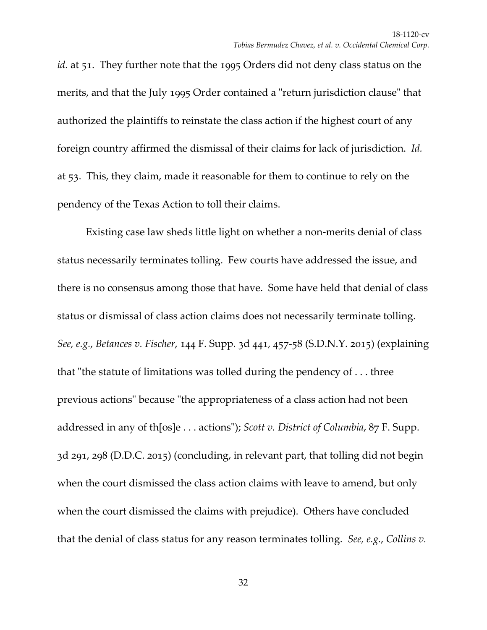*id.* at 51. They further note that the 1995 Orders did not deny class status on the merits, and that the July 1995 Order contained a "return jurisdiction clause" that authorized the plaintiffs to reinstate the class action if the highest court of any foreign country affirmed the dismissal of their claims for lack of jurisdiction. *Id.* at 53. This, they claim, made it reasonable for them to continue to rely on the pendency of the Texas Action to toll their claims.

Existing case law sheds little light on whether a non‐merits denial of class status necessarily terminates tolling. Few courts have addressed the issue, and there is no consensus among those that have. Some have held that denial of class status or dismissal of class action claims does not necessarily terminate tolling. *See, e.g.*, *Betances v. Fischer*, 144 F. Supp. 3d 441, 457‐58 (S.D.N.Y. 2015) (explaining that "the statute of limitations was tolled during the pendency of  $\dots$  three previous actions" because "the appropriateness of a class action had not been addressed in any of th[os]e . . . actions"); *Scott v. District of Columbia*, 87 F. Supp. 3d 291, 298 (D.D.C. 2015) (concluding, in relevant part, that tolling did not begin when the court dismissed the class action claims with leave to amend, but only when the court dismissed the claims with prejudice). Others have concluded that the denial of class status for any reason terminates tolling. *See, e.g.*, *Collins v.*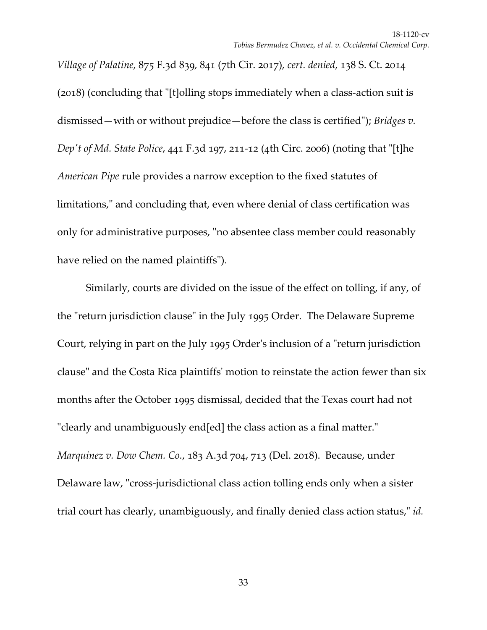*Village of Palatine*, 875 F.3d 839, 841 (7th Cir. 2017), *cert. denied*, 138 S. Ct. 2014  $(2018)$  (concluding that "[t]olling stops immediately when a class-action suit is dismissed—with or without prejudice—before the class is certified"); *Bridges v*. *Depʹt of Md. State Police*, 441 F.3d 197, 211‐12 (4th Circ. 2006) (noting that ʺ[t]he *American Pipe* rule provides a narrow exception to the fixed statutes of limitations," and concluding that, even where denial of class certification was only for administrative purposes, "no absentee class member could reasonably have relied on the named plaintiffs").

Similarly, courts are divided on the issue of the effect on tolling, if any, of the "return jurisdiction clause" in the July 1995 Order. The Delaware Supreme Court, relying in part on the July 1995 Order's inclusion of a "return jurisdiction" clauseʺ and the Costa Rica plaintiffsʹ motion to reinstate the action fewer than six months after the October 1995 dismissal, decided that the Texas court had not "clearly and unambiguously end[ed] the class action as a final matter." *Marquinez v. Dow Chem. Co.*, 183 A.3d 704, 713 (Del. 2018). Because, under Delaware law, "cross-jurisdictional class action tolling ends only when a sister trial court has clearly, unambiguously, and finally denied class action status," *id.*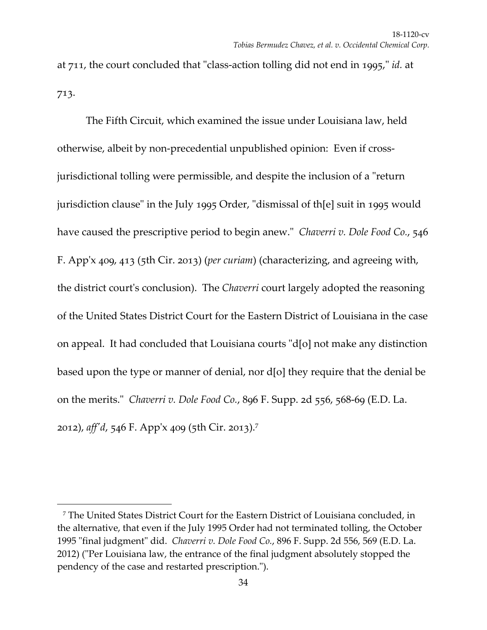at 711, the court concluded that "class-action tolling did not end in 1995," *id.* at 713.

The Fifth Circuit, which examined the issue under Louisiana law, held otherwise, albeit by non‐precedential unpublished opinion: Even if cross‐ jurisdictional tolling were permissible, and despite the inclusion of a "return jurisdiction clause" in the July 1995 Order, "dismissal of th[e] suit in 1995 would have caused the prescriptive period to begin anew.ʺ *Chaverri v. Dole Food Co.*, 546 F. Appʹx 409, 413 (5th Cir. 2013) (*per curiam*) (characterizing, and agreeing with, the district courtʹs conclusion). The *Chaverri* court largely adopted the reasoning of the United States District Court for the Eastern District of Louisiana in the case on appeal. It had concluded that Louisiana courts "d[o] not make any distinction based upon the type or manner of denial, nor d[o] they require that the denial be on the merits.ʺ *Chaverri v. Dole Food Co.*, 896 F. Supp. 2d 556, 568‐69 (E.D. La. 2012), *affʹd*, 546 F. Appʹx 409 (5th Cir. 2013).7

<sup>7</sup> The United States District Court for the Eastern District of Louisiana concluded, in the alternative, that even if the July 1995 Order had not terminated tolling, the October 1995 ʺfinal judgmentʺ did. *Chaverri v. Dole Food Co.*, 896 F. Supp. 2d 556, 569 (E.D. La. 2012) ("Per Louisiana law, the entrance of the final judgment absolutely stopped the pendency of the case and restarted prescription.").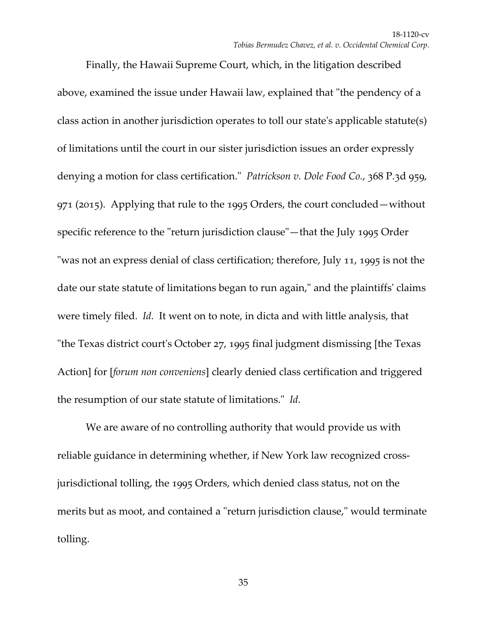Finally, the Hawaii Supreme Court, which, in the litigation described above, examined the issue under Hawaii law, explained that "the pendency of a class action in another jurisdiction operates to toll our stateʹs applicable statute(s) of limitations until the court in our sister jurisdiction issues an order expressly denying a motion for class certification.ʺ *Patrickson v. Dole Food Co.*, 368 P.3d 959, 971 (2015). Applying that rule to the 1995 Orders, the court concluded—without specific reference to the "return jurisdiction clause"—that the July 1995 Order ʺwas not an express denial of class certification; therefore, July 11, 1995 is not the date our state statute of limitations began to run again," and the plaintiffs' claims were timely filed. *Id.* It went on to note, in dicta and with little analysis, that "the Texas district court's October 27, 1995 final judgment dismissing [the Texas Action] for [*forum non conveniens*] clearly denied class certification and triggered the resumption of our state statute of limitations." *Id.* 

We are aware of no controlling authority that would provide us with reliable guidance in determining whether, if New York law recognized crossjurisdictional tolling, the 1995 Orders, which denied class status, not on the merits but as moot, and contained a "return jurisdiction clause," would terminate tolling.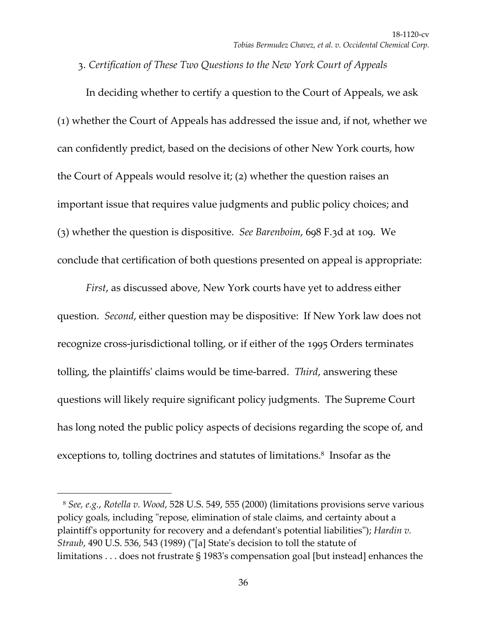3. *Certification of These Two Questions to the New York Court of Appeals*

In deciding whether to certify a question to the Court of Appeals, we ask (1) whether the Court of Appeals has addressed the issue and, if not, whether we can confidently predict, based on the decisions of other New York courts, how the Court of Appeals would resolve it; (2) whether the question raises an important issue that requires value judgments and public policy choices; and (3) whether the question is dispositive. *See Barenboim*, 698 F.3d at 109. We conclude that certification of both questions presented on appeal is appropriate:

*First*, as discussed above, New York courts have yet to address either question. *Second*, either question may be dispositive: If New York law does not recognize cross-jurisdictional tolling, or if either of the 1995 Orders terminates tolling, the plaintiffsʹ claims would be time‐barred. *Third*, answering these questions will likely require significant policy judgments. The Supreme Court has long noted the public policy aspects of decisions regarding the scope of, and exceptions to, tolling doctrines and statutes of limitations.<sup>8</sup> Insofar as the

<sup>8</sup> *See, e.g.*, *Rotella v. Wood*, 528 U.S. 549, 555 (2000) (limitations provisions serve various policy goals, including "repose, elimination of stale claims, and certainty about a plaintiffʹs opportunity for recovery and a defendantʹs potential liabilitiesʺ); *Hardin v. Straub*, 490 U.S. 536, 543 (1989) ("[a] State's decision to toll the statute of limitations . . . does not frustrate § 1983ʹs compensation goal [but instead] enhances the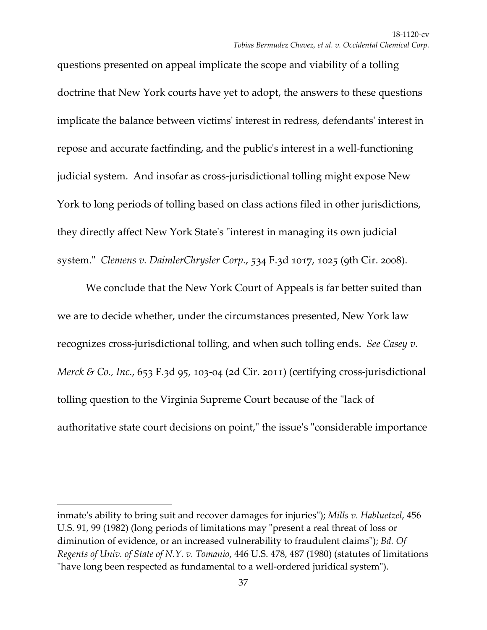questions presented on appeal implicate the scope and viability of a tolling doctrine that New York courts have yet to adopt, the answers to these questions implicate the balance between victims' interest in redress, defendants' interest in repose and accurate factfinding, and the public's interest in a well-functioning judicial system. And insofar as cross-jurisdictional tolling might expose New York to long periods of tolling based on class actions filed in other jurisdictions, they directly affect New York State's "interest in managing its own judicial system.ʺ *Clemens v. DaimlerChrysler Corp.*, 534 F.3d 1017, 1025 (9th Cir. 2008).

We conclude that the New York Court of Appeals is far better suited than we are to decide whether, under the circumstances presented, New York law recognizes cross‐jurisdictional tolling, and when such tolling ends. *See Casey v. Merck & Co., Inc.*, 653 F.3d 95, 103‐04 (2d Cir. 2011) (certifying cross‐jurisdictional tolling question to the Virginia Supreme Court because of the "lack of authoritative state court decisions on point," the issue's "considerable importance

inmateʹs ability to bring suit and recover damages for injuriesʺ); *Mills v. Habluetzel*, 456 U.S. 91, 99 (1982) (long periods of limitations may "present a real threat of loss or diminution of evidence, or an increased vulnerability to fraudulent claims"); *Bd. Of Regents of Univ. of State of N.Y. v. Tomanio*, 446 U.S. 478, 487 (1980) (statutes of limitations "have long been respected as fundamental to a well-ordered juridical system").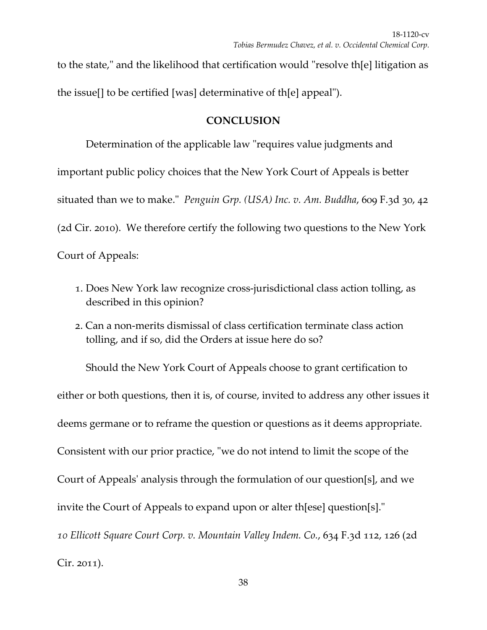to the state," and the likelihood that certification would "resolve th[e] litigation as the issue[] to be certified [was] determinative of th[e] appeal").

## **CONCLUSION**

Determination of the applicable law "requires value judgments and important public policy choices that the New York Court of Appeals is better situated than we to make.ʺ *Penguin Grp. (USA) Inc. v. Am. Buddha*, 609 F.3d 30, 42 (2d Cir. 2010). We therefore certify the following two questions to the New York Court of Appeals:

- 1. Does New York law recognize cross‐jurisdictional class action tolling, as described in this opinion?
- 2. Can a non‐merits dismissal of class certification terminate class action tolling, and if so, did the Orders at issue here do so?

Should the New York Court of Appeals choose to grant certification to either or both questions, then it is, of course, invited to address any other issues it deems germane or to reframe the question or questions as it deems appropriate. Consistent with our prior practice, "we do not intend to limit the scope of the Court of Appealsʹ analysis through the formulation of our question[s], and we invite the Court of Appeals to expand upon or alter th[ese] question[s]." *10 Ellicott Square Court Corp. v. Mountain Valley Indem. Co.*, 634 F.3d 112, 126 (2d Cir. 2011).